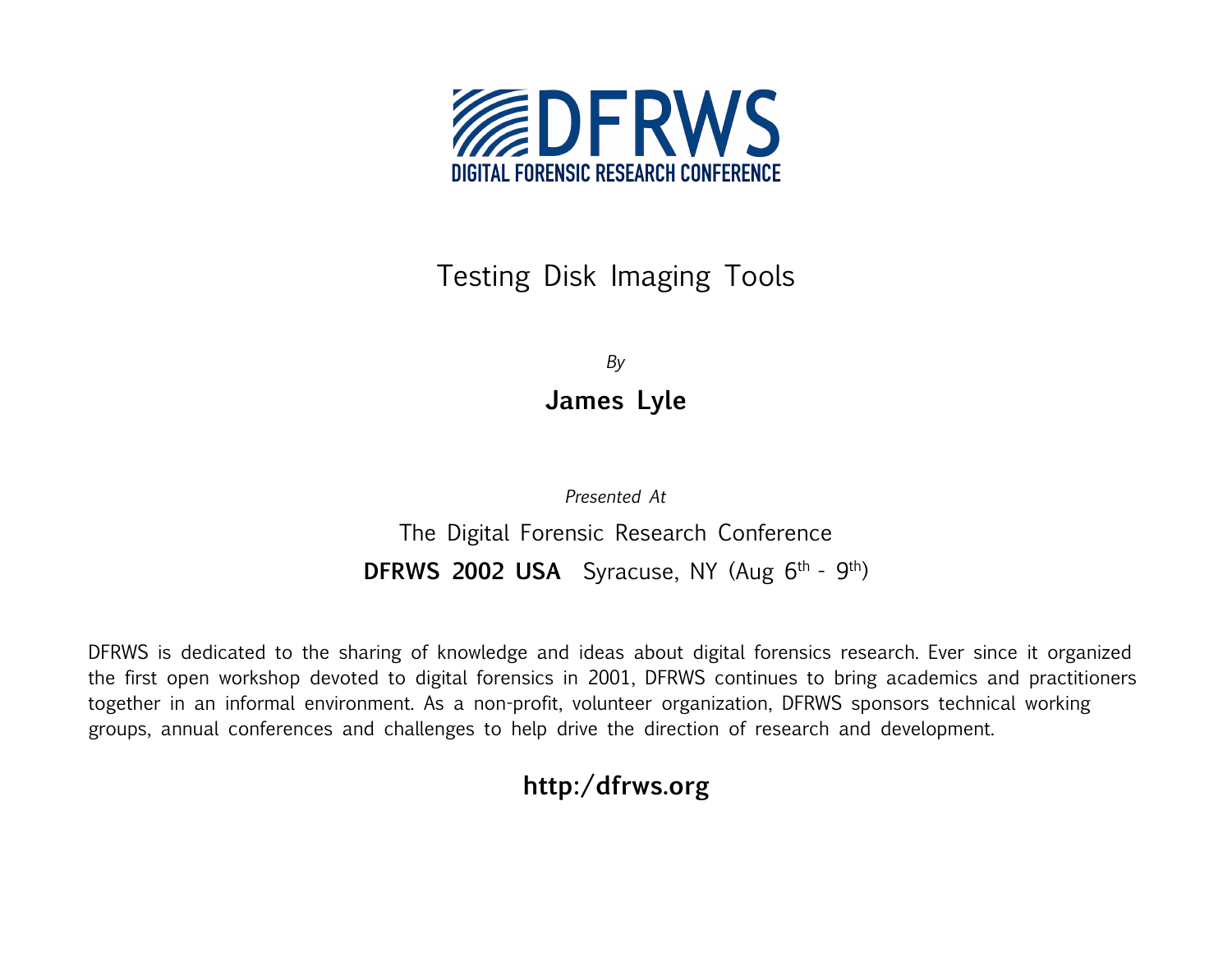

#### Testing Disk Imaging Tools

*By* **James Lyle**

*Presented At* The Digital Forensic Research Conference **DFRWS 2002 USA** Syracuse, NY (Aug 6<sup>th</sup> - 9<sup>th</sup>)

DFRWS is dedicated to the sharing of knowledge and ideas about digital forensics research. Ever since it organized the first open workshop devoted to digital forensics in 2001, DFRWS continues to bring academics and practitioners together in an informal environment. As a non-profit, volunteer organization, DFRWS sponsors technical working groups, annual conferences and challenges to help drive the direction of research and development.

#### **http:/dfrws.org**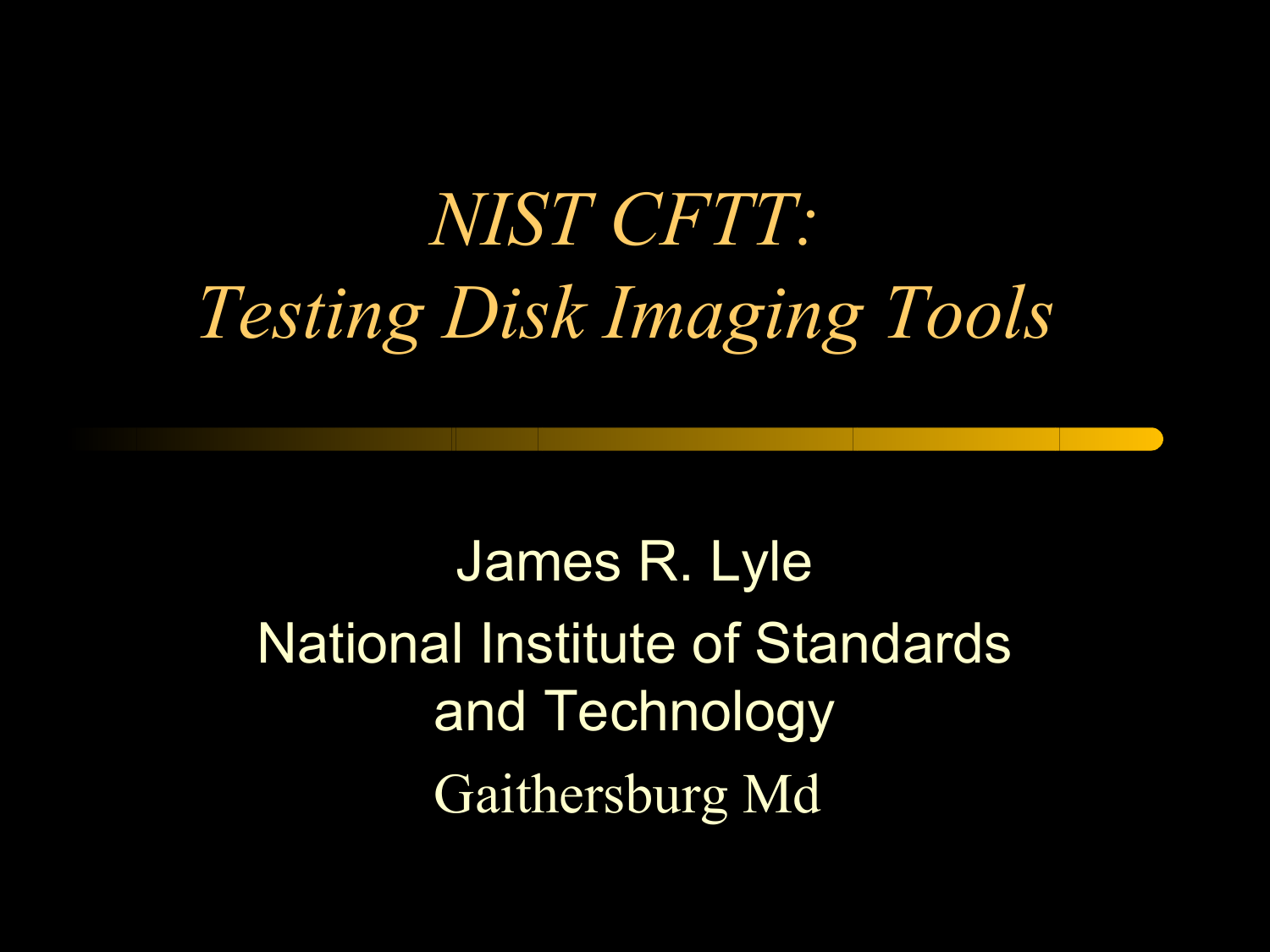# *NIST CFTT: Testing Disk Imaging Tools*

James R. Lyle National Institute of Standards and Technology Gaithersburg Md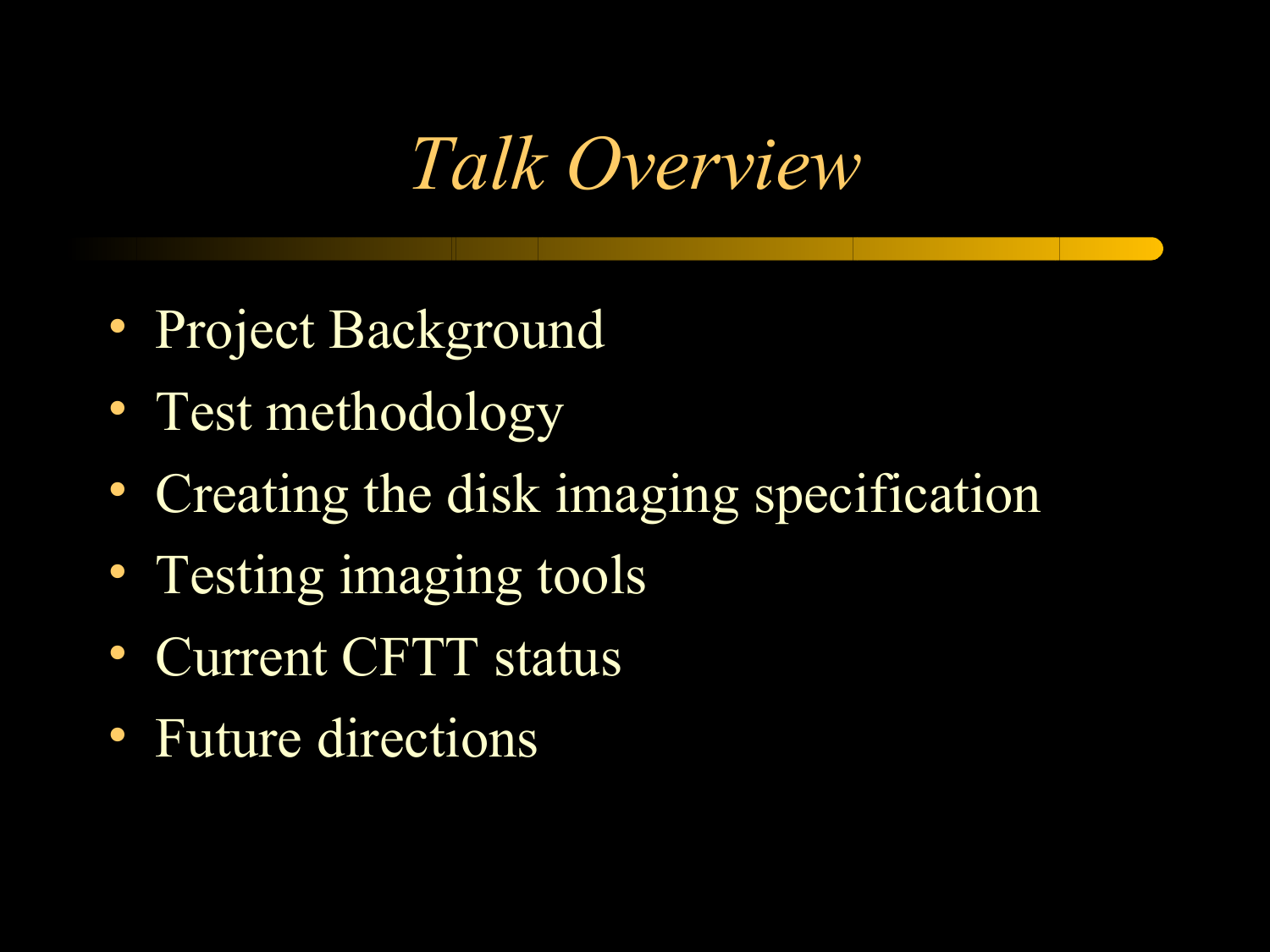## *Talk Overview*

- Project Background
- Test methodology
- Creating the disk imaging specification
- Testing imaging tools
- Current CFTT status
- Future directions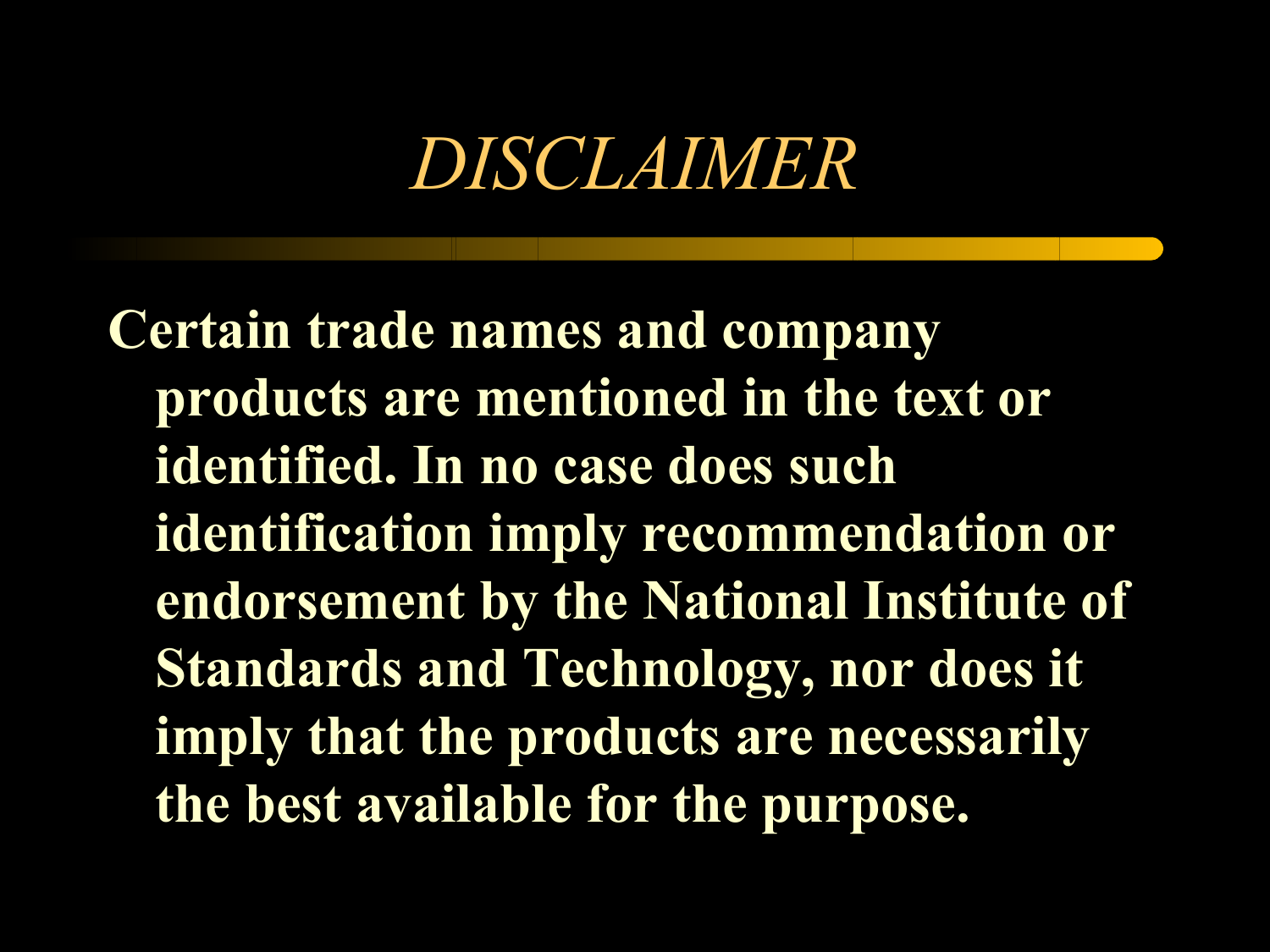## *DISCLAIMER*

**Certain trade names and company products are mentioned in the text or identified. In no case does such identification imply recommendation or endorsement by the National Institute of Standards and Technology, nor does it imply that the products are necessarily the best available for the purpose.**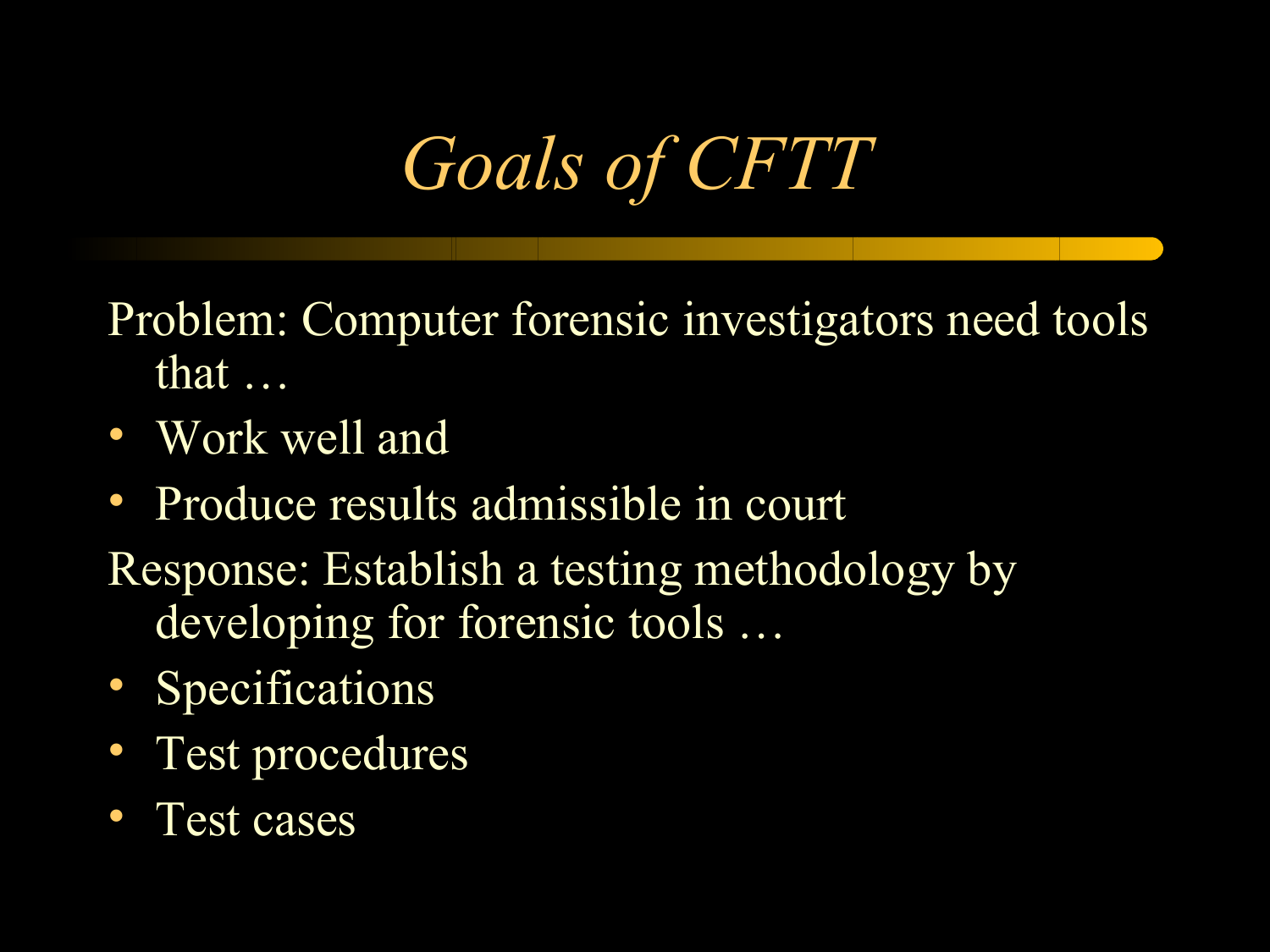*Goals of CFTT*

Problem: Computer forensic investigators need tools that …

- Work well and
- Produce results admissible in court
- Response: Establish a testing methodology by developing for forensic tools …
- Specifications
- Test procedures
- Test cases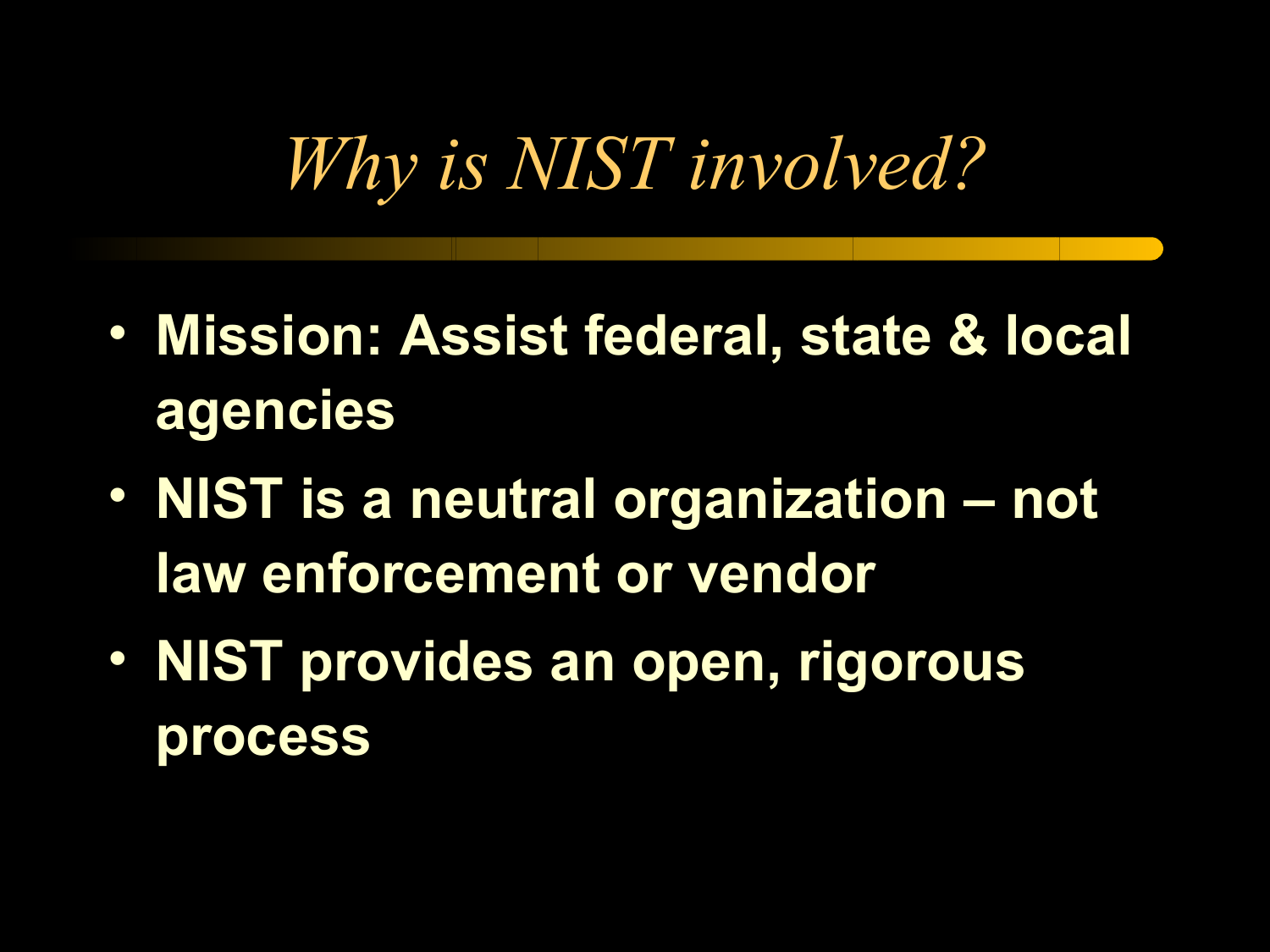# *Why is NIST involved?*

- **Mission: Assist federal, state & local agencies**
- **NIST is a neutral organization not law enforcement or vendor**
- **NIST provides an open, rigorous process**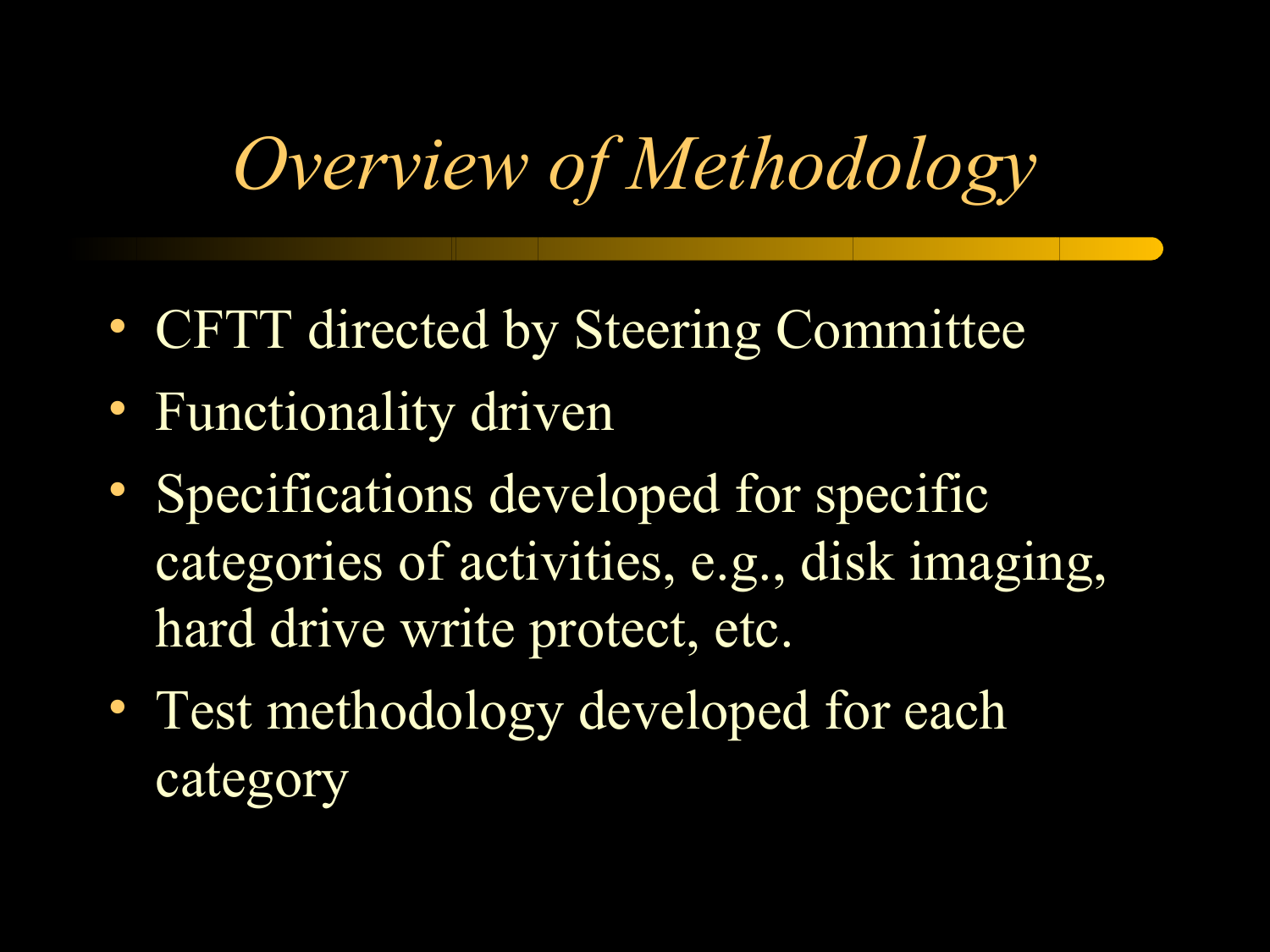# *Overview of Methodology*

- CFTT directed by Steering Committee
- Functionality driven
- Specifications developed for specific categories of activities, e.g., disk imaging, hard drive write protect, etc.
- Test methodology developed for each category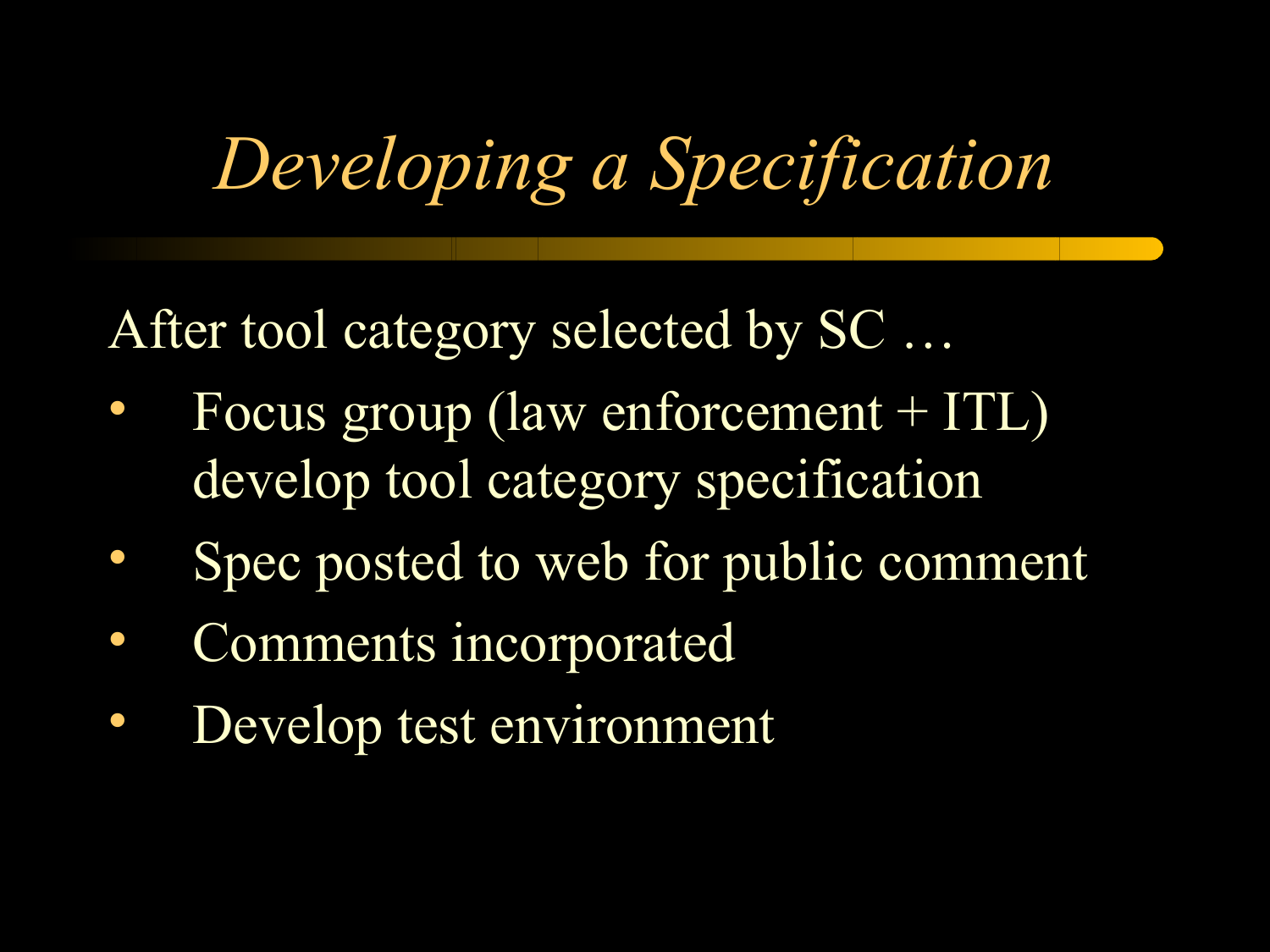# *Developing a Specification*

After tool category selected by SC ...

- Focus group (law enforcement + ITL) develop tool category specification
- Spec posted to web for public comment
- Comments incorporated
- Develop test environment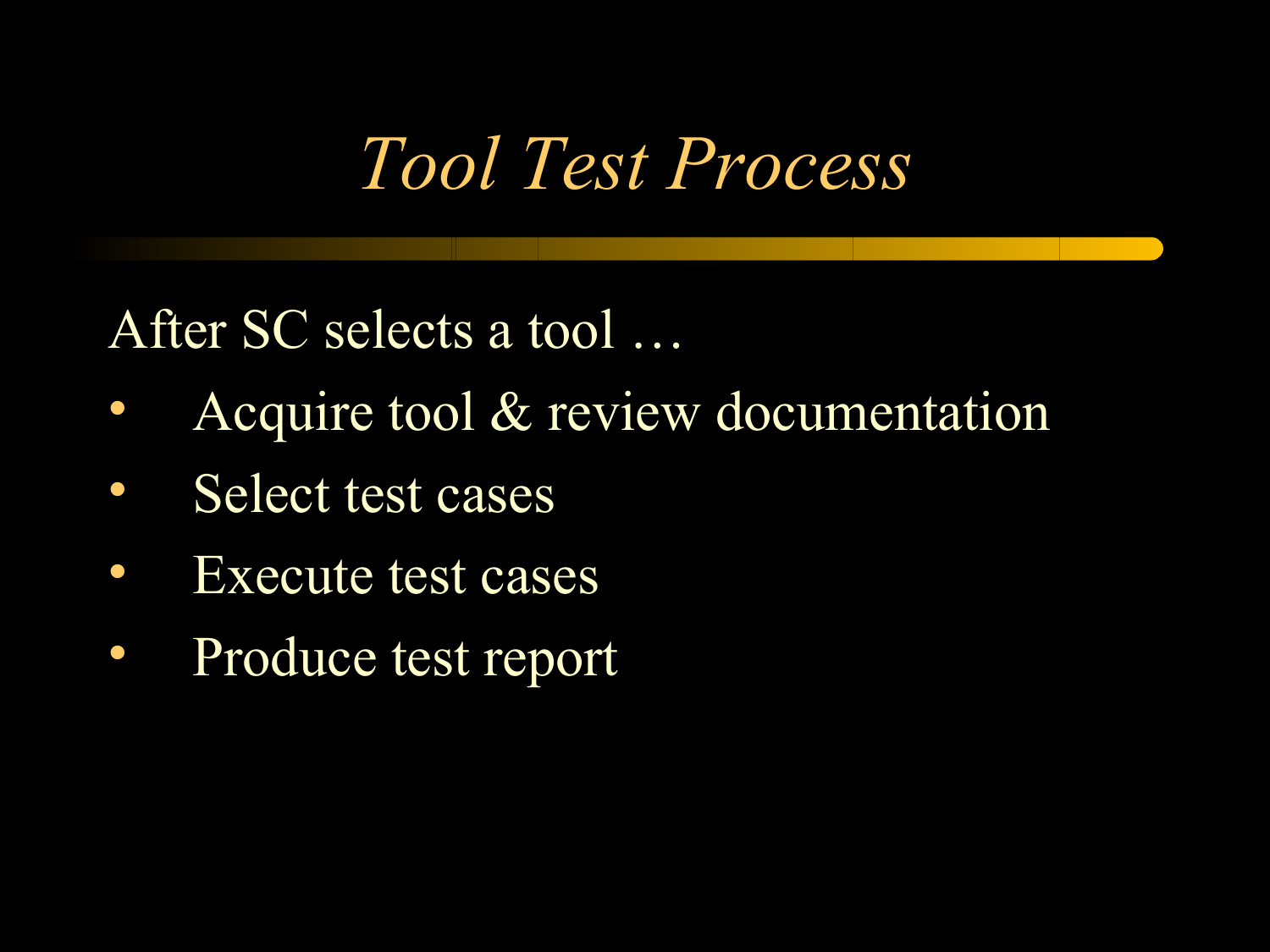## *Tool Test Process*

After SC selects a tool …

- Acquire tool & review documentation
- Select test cases
- Execute test cases
- Produce test report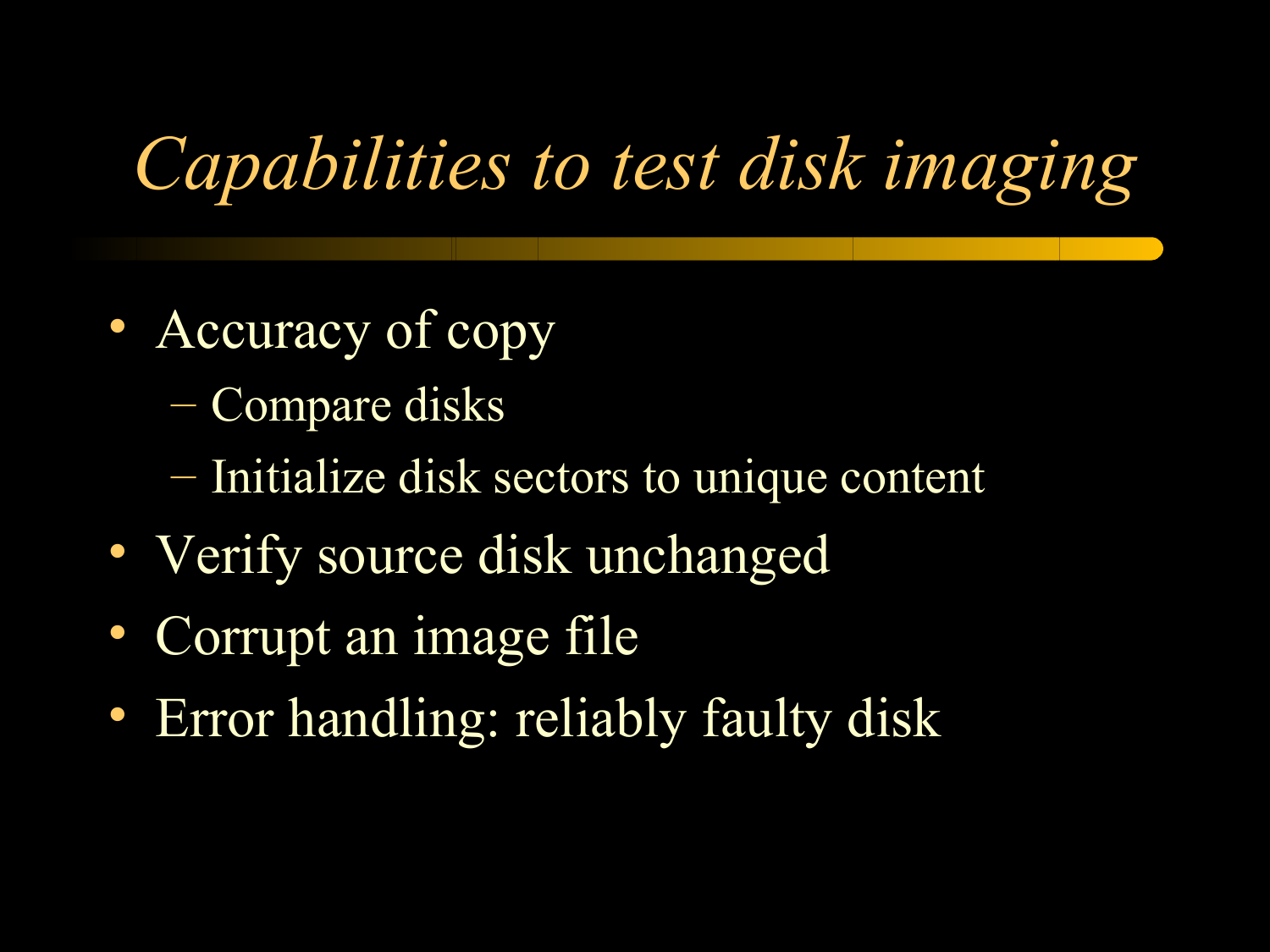# *Capabilities to test disk imaging*

- Accuracy of copy
	- Compare disks
	- Initialize disk sectors to unique content
- Verify source disk unchanged
- Corrupt an image file
- Error handling: reliably faulty disk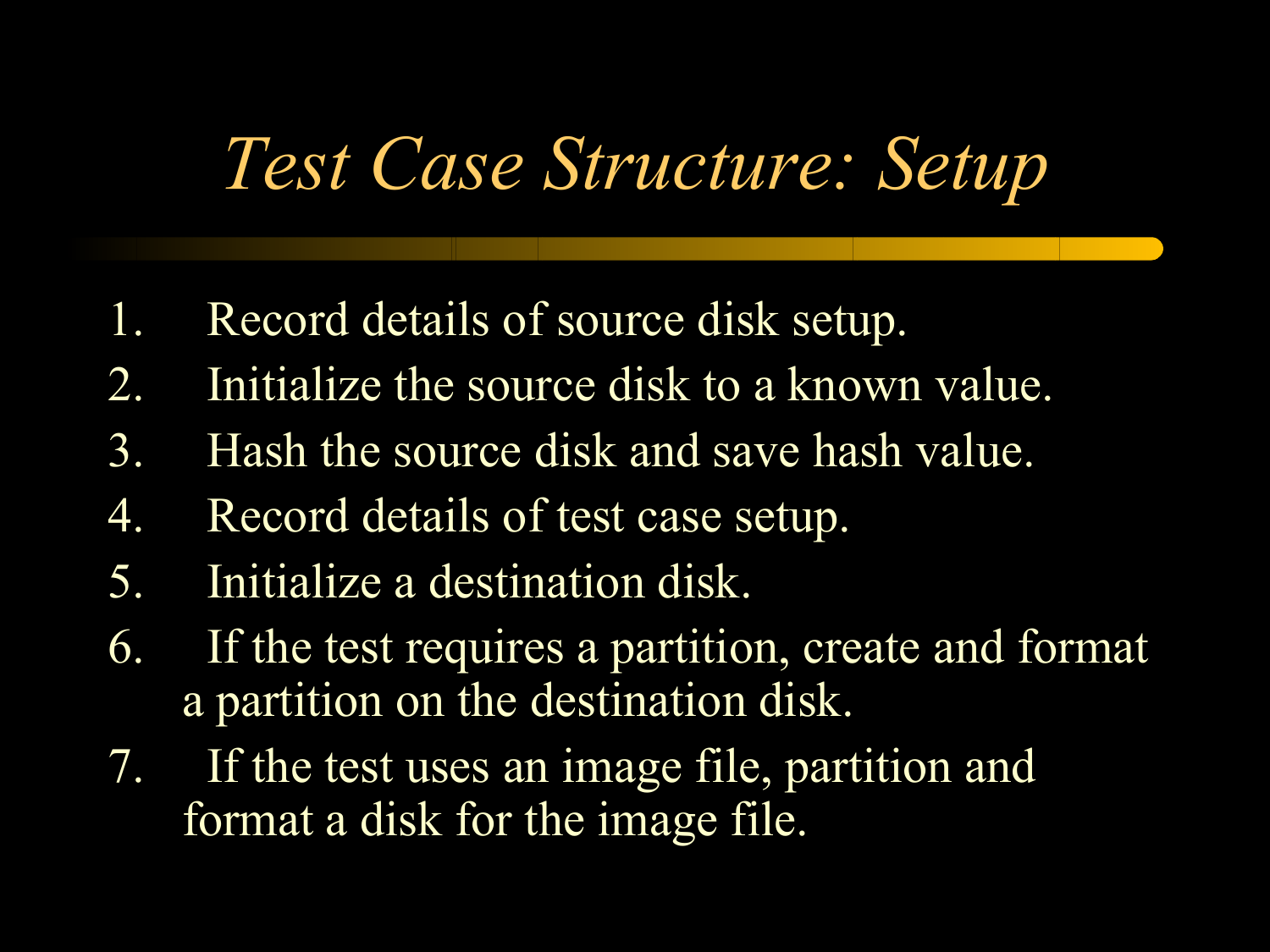## *Test Case Structure: Setup*

- 1. Record details of source disk setup.
- 2. Initialize the source disk to a known value.
- 3. Hash the source disk and save hash value.
- 4. Record details of test case setup.
- 5. Initialize a destination disk.
- 6. If the test requires a partition, create and format a partition on the destination disk.
- 7. If the test uses an image file, partition and format a disk for the image file.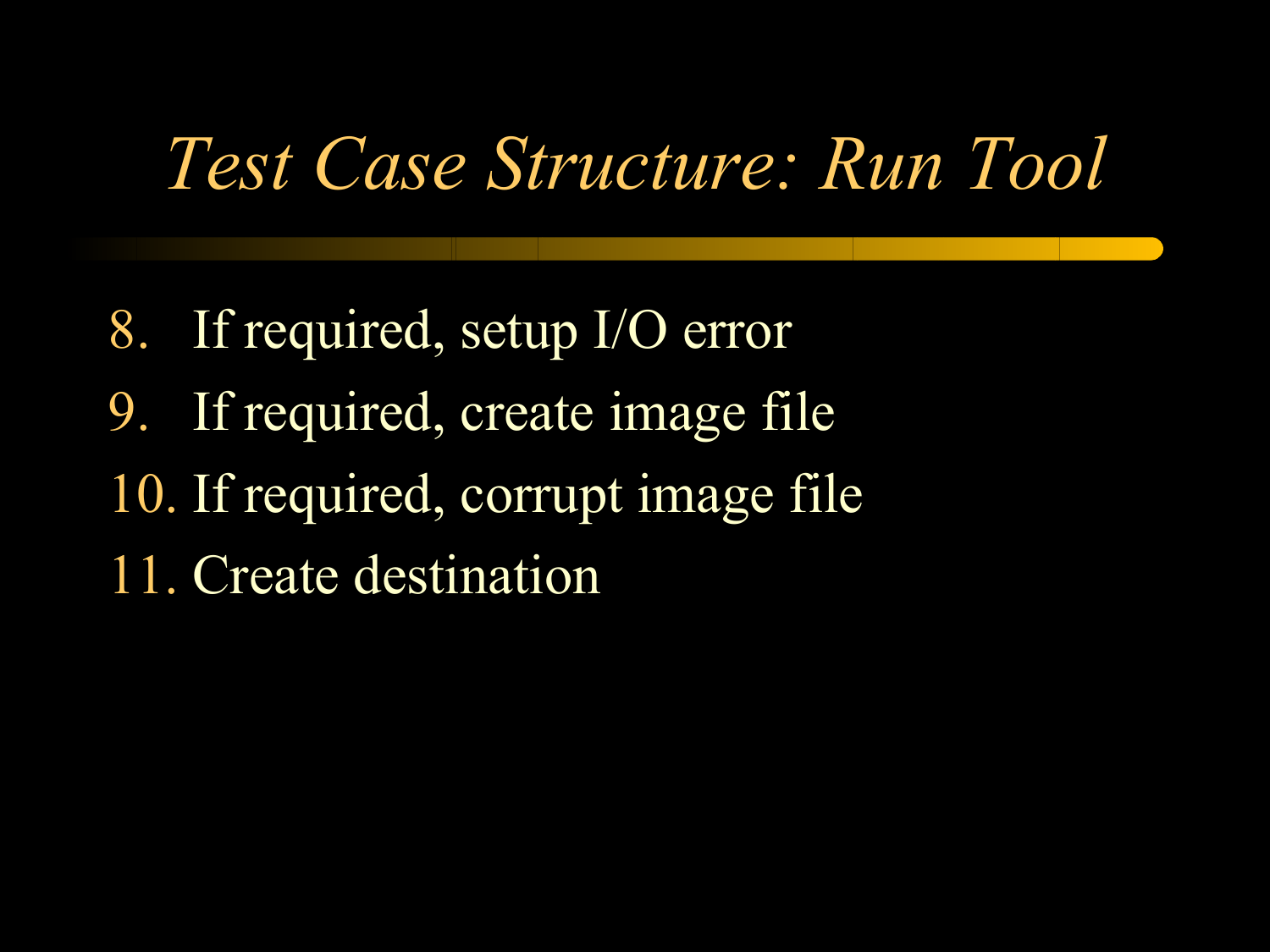## *Test Case Structure: Run Tool*

8. If required, setup I/O error 9. If required, create image file 10. If required, corrupt image file 11. Create destination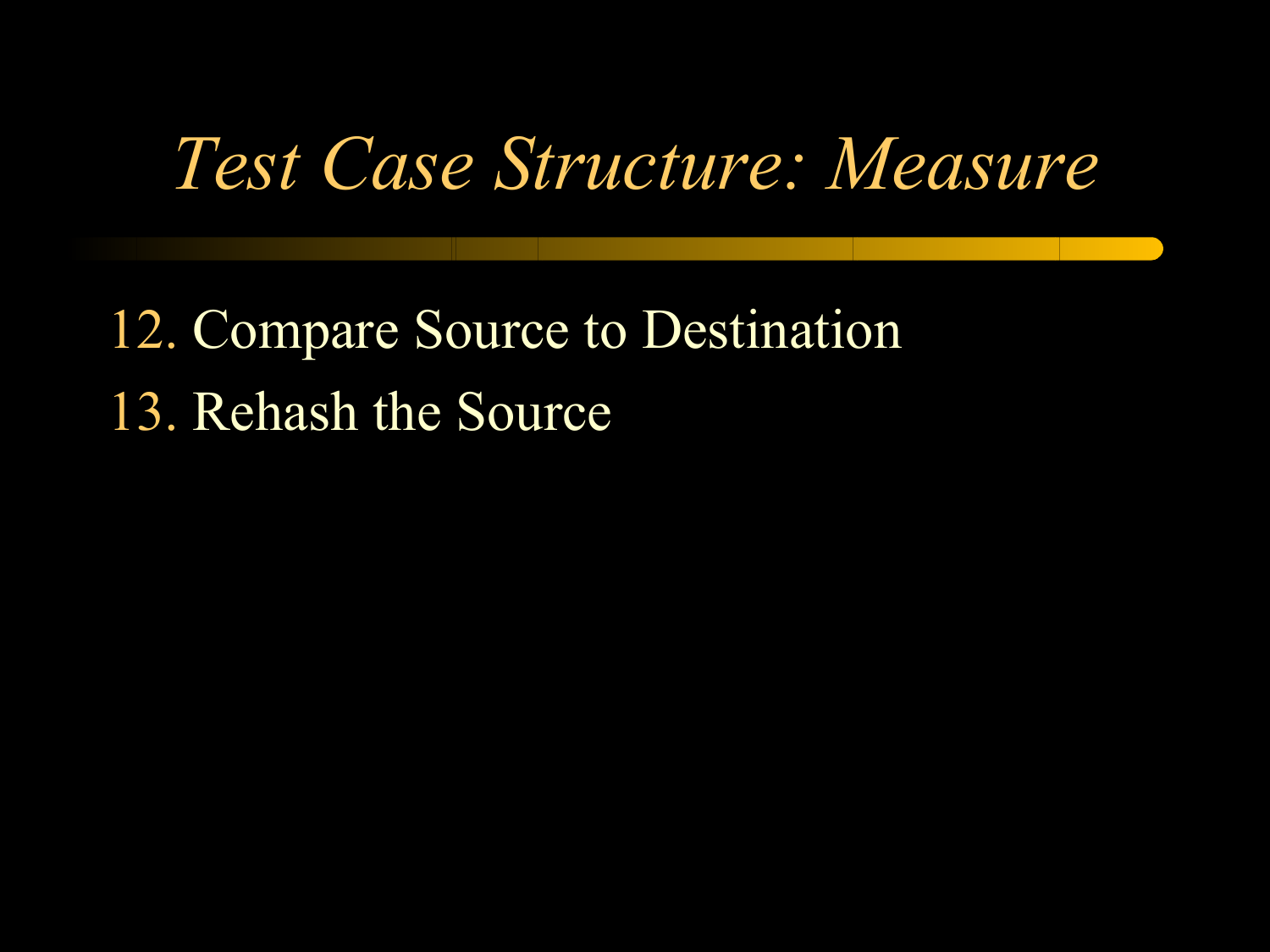## *Test Case Structure: Measure*

### 12. Compare Source to Destination 13. Rehash the Source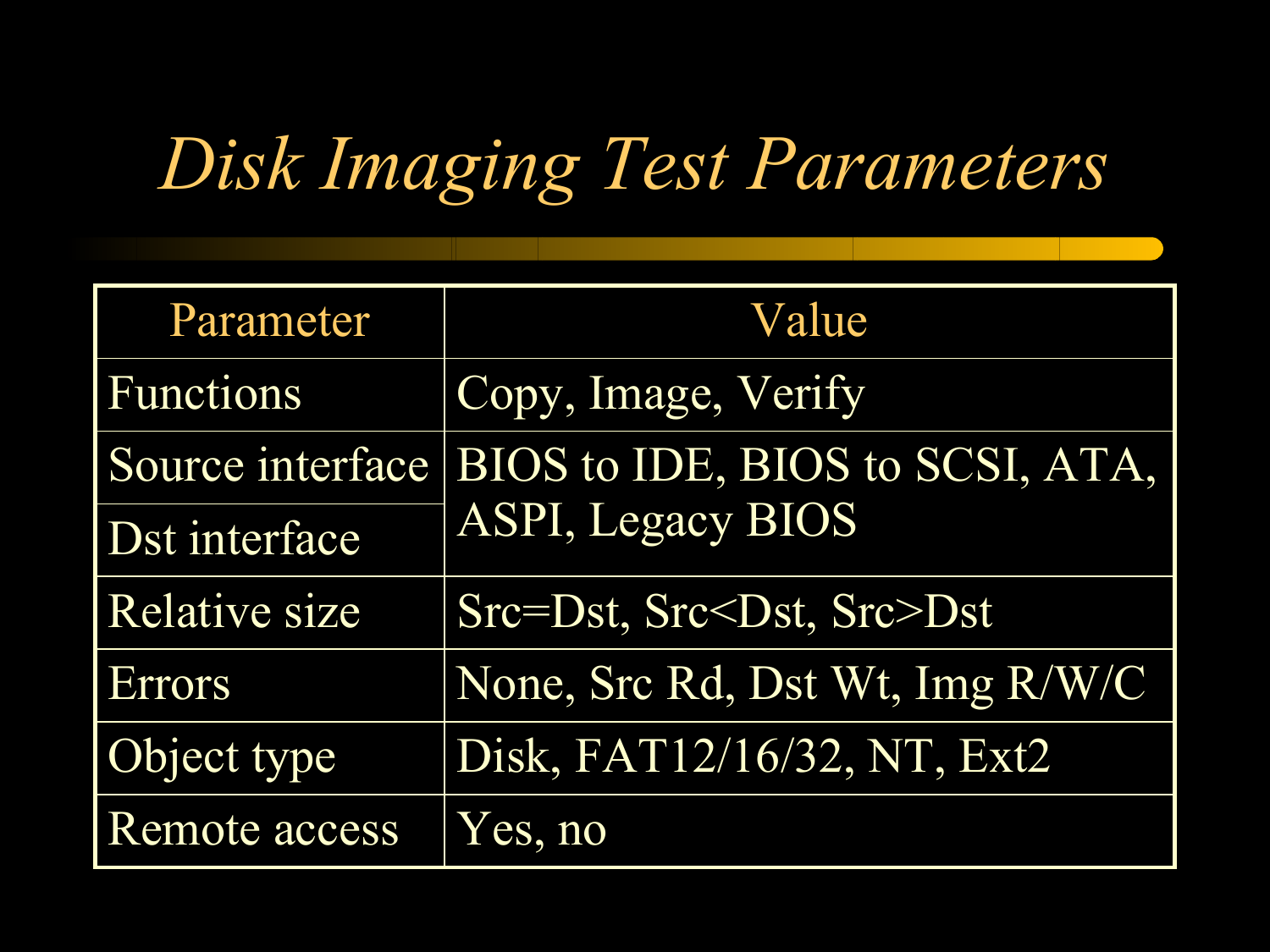# *Disk Imaging Test Parameters*

| Parameter            | Value                                |
|----------------------|--------------------------------------|
| <b>Functions</b>     | Copy, Image, Verify                  |
| Source interface     | BIOS to IDE, BIOS to SCSI, ATA,      |
| Dst interface        | <b>ASPI, Legacy BIOS</b>             |
| <b>Relative size</b> | Src=Dst, Src <dst, src="">Dst</dst,> |
| Errors               | None, Src Rd, Dst Wt, Img R/W/C      |
| Object type          | Disk, FAT12/16/32, NT, Ext2          |
| Remote access        | Yes, no                              |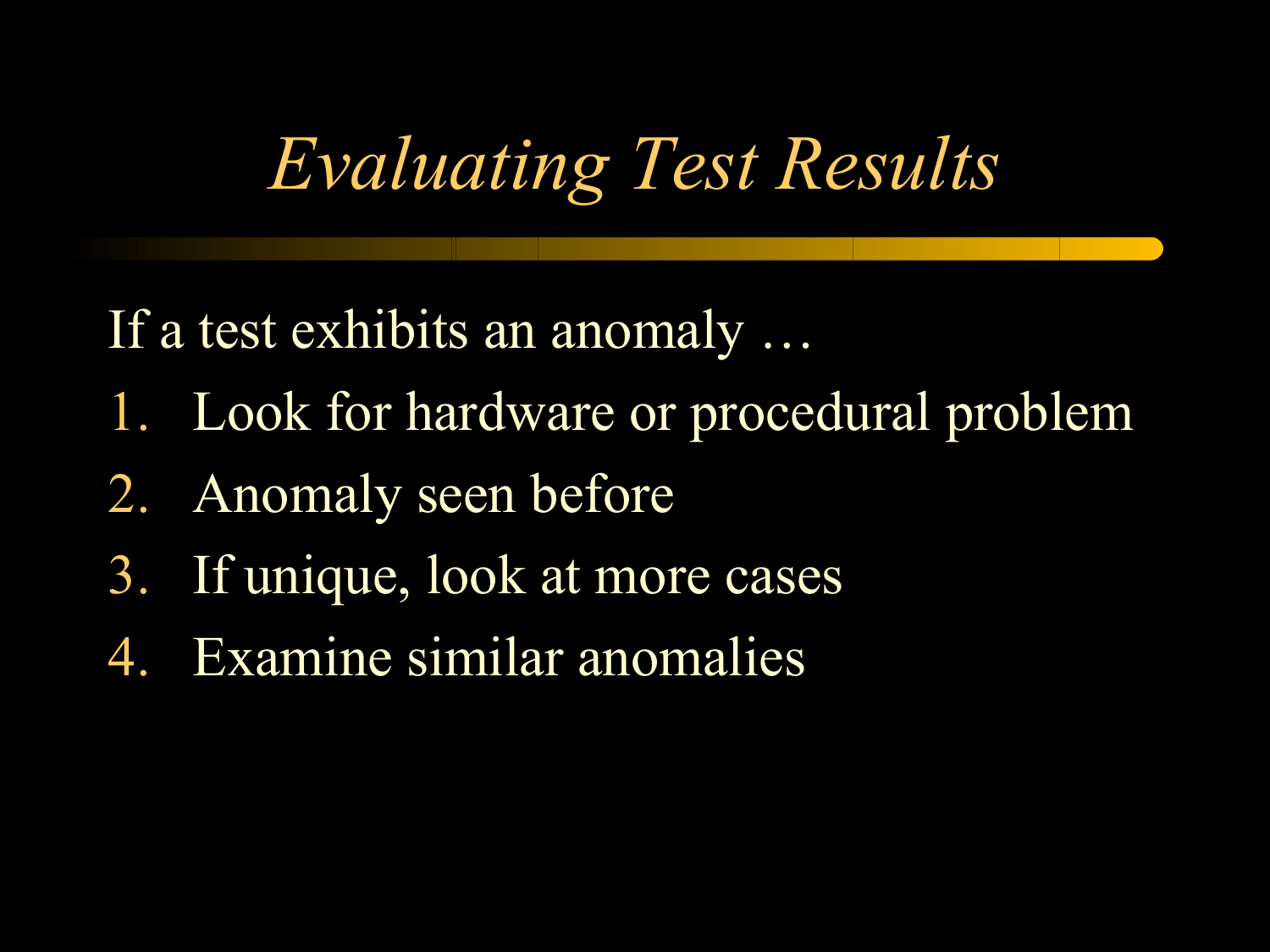# *Evaluating Test Results*

If a test exhibits an anomaly …

- 1. Look for hardware or procedural problem
- 2. Anomaly seen before
- 3. If unique, look at more cases
- 4. Examine similar anomalies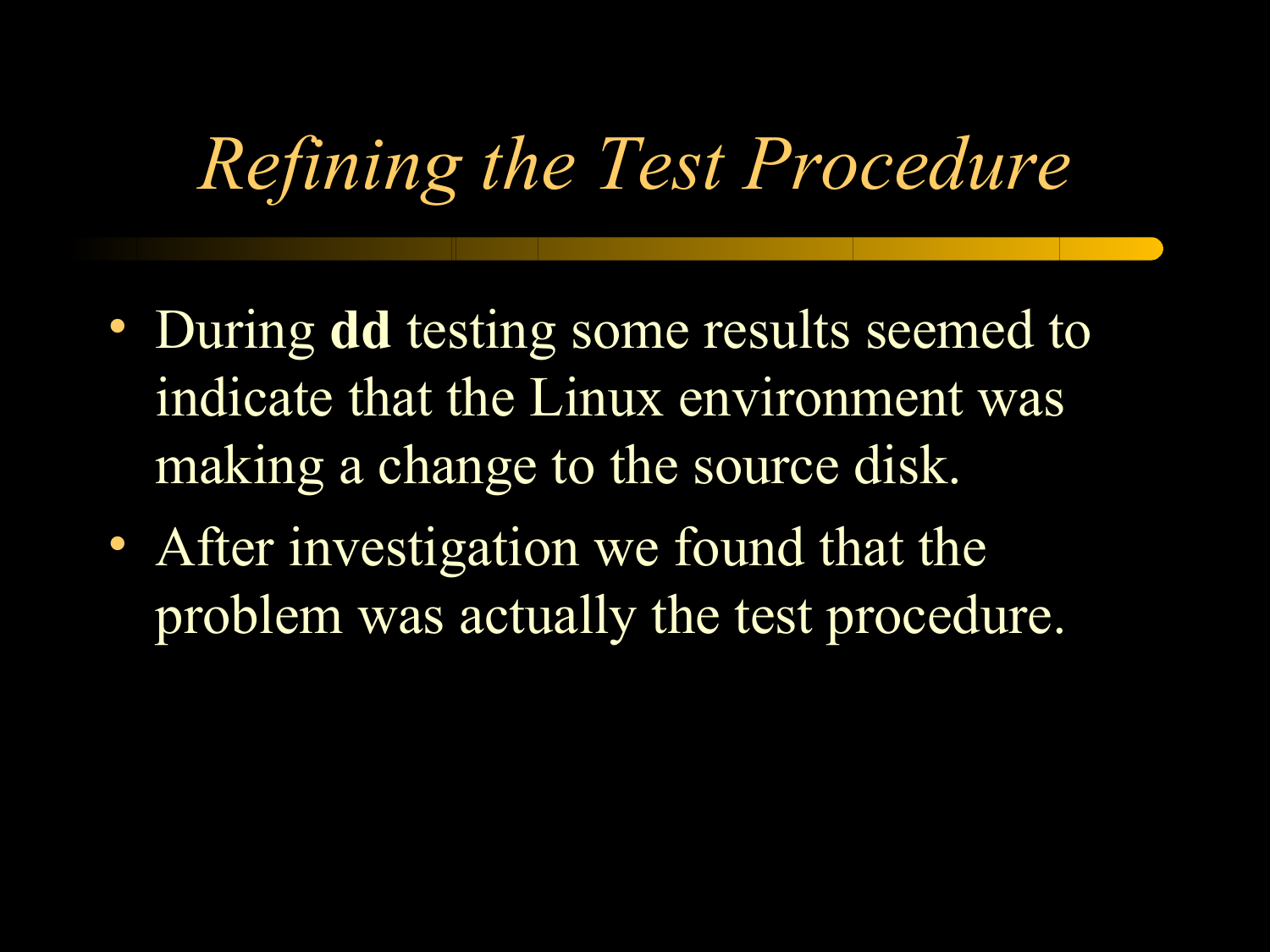# *Refining the Test Procedure*

- During **dd** testing some results seemed to indicate that the Linux environment was making a change to the source disk.
- After investigation we found that the problem was actually the test procedure.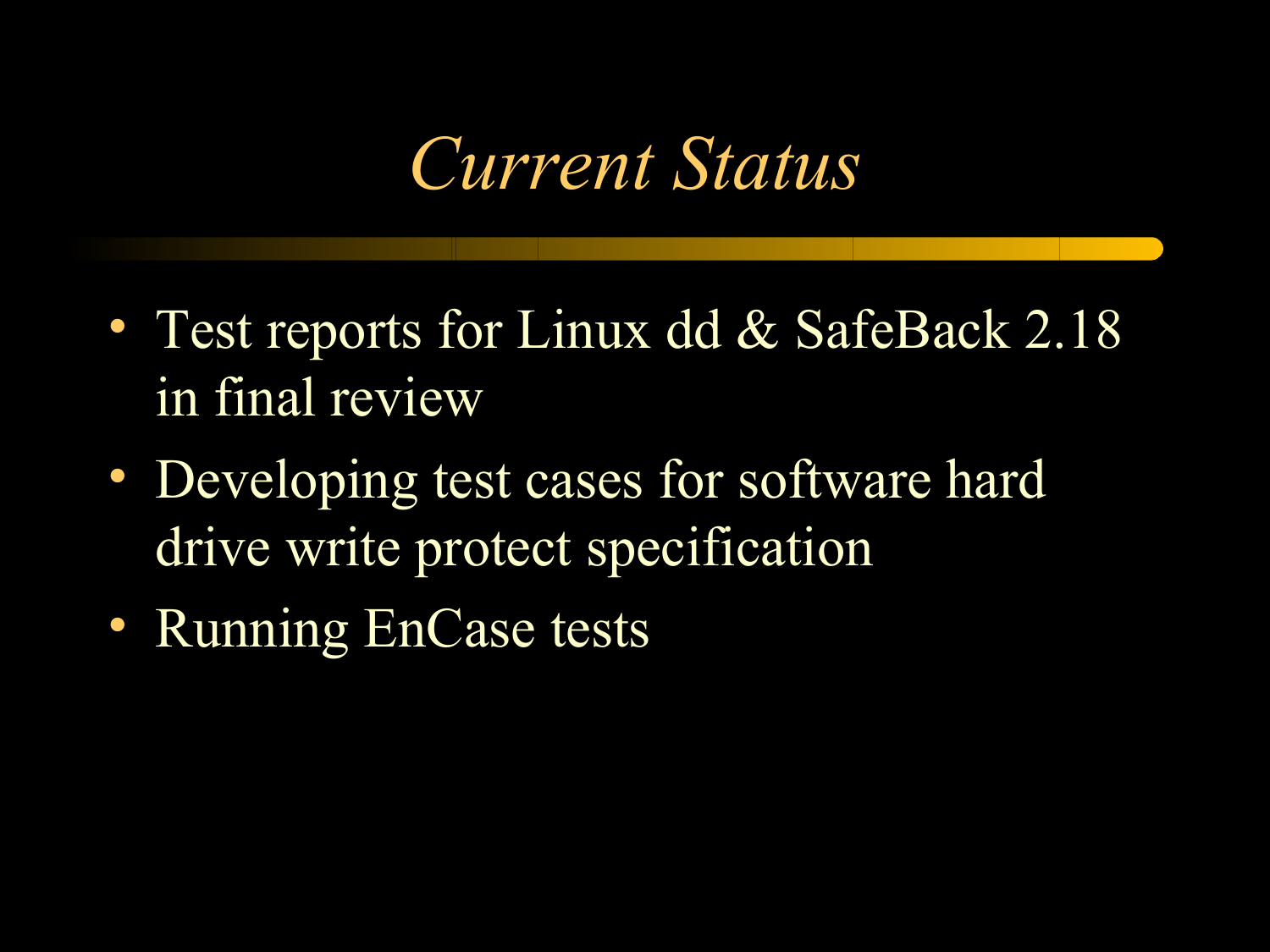## *Current Status*

- Test reports for Linux dd & SafeBack 2.18 in final review
- Developing test cases for software hard drive write protect specification
- Running EnCase tests